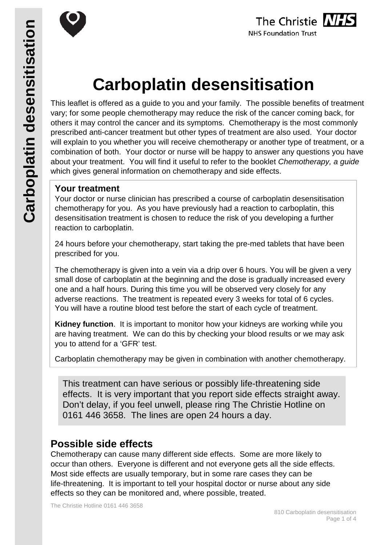



# **Carboplatin desensitisation**

This leaflet is offered as a guide to you and your family. The possible benefits of treatment vary; for some people chemotherapy may reduce the risk of the cancer coming back, for others it may control the cancer and its symptoms. Chemotherapy is the most commonly prescribed anti-cancer treatment but other types of treatment are also used. Your doctor will explain to you whether you will receive chemotherapy or another type of treatment, or a combination of both. Your doctor or nurse will be happy to answer any questions you have about your treatment. You will find it useful to refer to the booklet *Chemotherapy, a guide* which gives general information on chemotherapy and side effects.

## **Your treatment**

Your doctor or nurse clinician has prescribed a course of carboplatin desensitisation chemotherapy for you. As you have previously had a reaction to carboplatin, this desensitisation treatment is chosen to reduce the risk of you developing a further reaction to carboplatin.

24 hours before your chemotherapy, start taking the pre-med tablets that have been prescribed for you.

The chemotherapy is given into a vein via a drip over 6 hours. You will be given a very small dose of carboplatin at the beginning and the dose is gradually increased every one and a half hours. During this time you will be observed very closely for any adverse reactions. The treatment is repeated every 3 weeks for total of 6 cycles. You will have a routine blood test before the start of each cycle of treatment.

**Kidney function**. It is important to monitor how your kidneys are working while you are having treatment. We can do this by checking your blood results or we may ask you to attend for a 'GFR' test.

Carboplatin chemotherapy may be given in combination with another chemotherapy.

This treatment can have serious or possibly life-threatening side effects. It is very important that you report side effects straight away. Don't delay, if you feel unwell, please ring The Christie Hotline on 0161 446 3658. The lines are open 24 hours a day.

## **Possible side effects**

Chemotherapy can cause many different side effects. Some are more likely to occur than others. Everyone is different and not everyone gets all the side effects. Most side effects are usually temporary, but in some rare cases they can be life-threatening. It is important to tell your hospital doctor or nurse about any side effects so they can be monitored and, where possible, treated.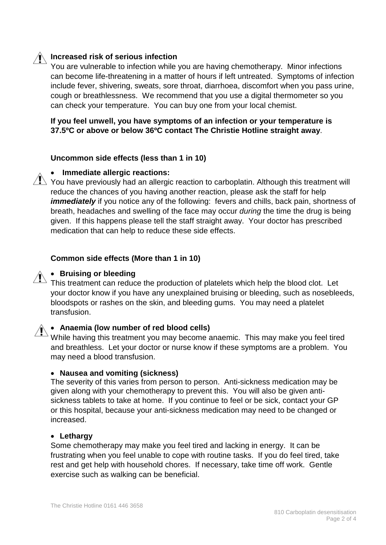## **Increased risk of serious infection**

You are vulnerable to infection while you are having chemotherapy. Minor infections can become life-threatening in a matter of hours if left untreated. Symptoms of infection include fever, shivering, sweats, sore throat, diarrhoea, discomfort when you pass urine, cough or breathlessness. We recommend that you use a digital thermometer so you can check your temperature. You can buy one from your local chemist.

**If you feel unwell, you have symptoms of an infection or your temperature is 37.5ºC or above or below 36ºC contact The Christie Hotline straight away**.

#### **Uncommon side effects (less than 1 in 10)**

#### • **Immediate allergic reactions:**

 $\sqrt{N}$  You have previously had an allergic reaction to carboplatin. Although this treatment will reduce the chances of you having another reaction, please ask the staff for help *immediately* if you notice any of the following: fevers and chills, back pain, shortness of breath, headaches and swelling of the face may occur *during* the time the drug is being given. If this happens please tell the staff straight away. Your doctor has prescribed medication that can help to reduce these side effects.

#### **Common side effects (More than 1 in 10)**

#### • **Bruising or bleeding**

This treatment can reduce the production of platelets which help the blood clot. Let your doctor know if you have any unexplained bruising or bleeding, such as nosebleeds, bloodspots or rashes on the skin, and bleeding gums. You may need a platelet transfusion.

#### • **Anaemia (low number of red blood cells)**

While having this treatment you may become anaemic. This may make you feel tired and breathless. Let your doctor or nurse know if these symptoms are a problem. You may need a blood transfusion.

#### • **Nausea and vomiting (sickness)**

The severity of this varies from person to person. Anti-sickness medication may be given along with your chemotherapy to prevent this. You will also be given antisickness tablets to take at home. If you continue to feel or be sick, contact your GP or this hospital, because your anti-sickness medication may need to be changed or increased.

#### • **Lethargy**

Some chemotherapy may make you feel tired and lacking in energy. It can be frustrating when you feel unable to cope with routine tasks. If you do feel tired, take rest and get help with household chores. If necessary, take time off work. Gentle exercise such as walking can be beneficial.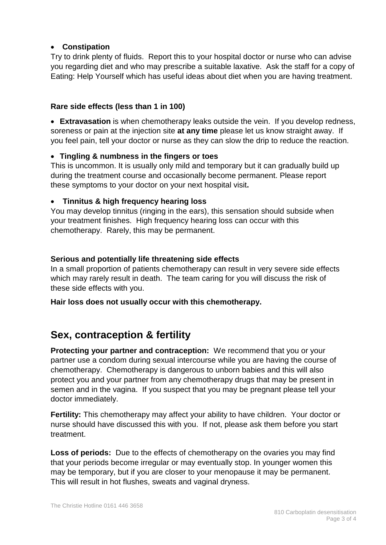## • **Constipation**

Try to drink plenty of fluids. Report this to your hospital doctor or nurse who can advise you regarding diet and who may prescribe a suitable laxative. Ask the staff for a copy of Eating: Help Yourself which has useful ideas about diet when you are having treatment.

## **Rare side effects (less than 1 in 100)**

• **Extravasation** is when chemotherapy leaks outside the vein. If you develop redness, soreness or pain at the injection site **at any time** please let us know straight away. If you feel pain, tell your doctor or nurse as they can slow the drip to reduce the reaction.

## • **Tingling & numbness in the fingers or toes**

This is uncommon. It is usually only mild and temporary but it can gradually build up during the treatment course and occasionally become permanent. Please report these symptoms to your doctor on your next hospital visit**.**

### • **Tinnitus & high frequency hearing loss**

You may develop tinnitus (ringing in the ears), this sensation should subside when your treatment finishes. High frequency hearing loss can occur with this chemotherapy. Rarely, this may be permanent.

## **Serious and potentially life threatening side effects**

In a small proportion of patients chemotherapy can result in very severe side effects which may rarely result in death. The team caring for you will discuss the risk of these side effects with you.

**Hair loss does not usually occur with this chemotherapy.**

# **Sex, contraception & fertility**

**Protecting your partner and contraception:** We recommend that you or your partner use a condom during sexual intercourse while you are having the course of chemotherapy. Chemotherapy is dangerous to unborn babies and this will also protect you and your partner from any chemotherapy drugs that may be present in semen and in the vagina. If you suspect that you may be pregnant please tell your doctor immediately.

**Fertility:** This chemotherapy may affect your ability to have children. Your doctor or nurse should have discussed this with you. If not, please ask them before you start treatment.

**Loss of periods:** Due to the effects of chemotherapy on the ovaries you may find that your periods become irregular or may eventually stop. In younger women this may be temporary, but if you are closer to your menopause it may be permanent. This will result in hot flushes, sweats and vaginal dryness.